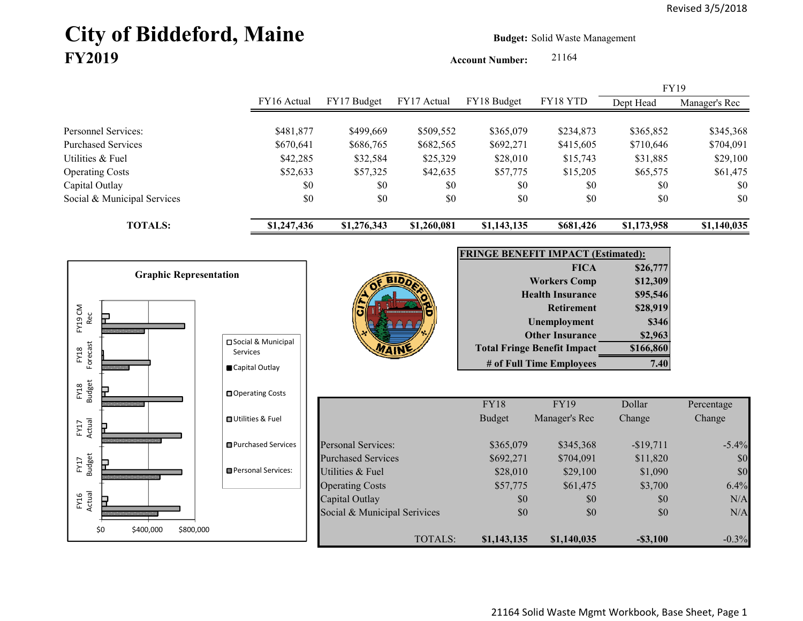# City of Biddeford, Maine **Budget:** Solid Waste Management **FY2019**

**Account Number:** 21164

|                             |             |             |             |             |           |             | <b>FY19</b>   |
|-----------------------------|-------------|-------------|-------------|-------------|-----------|-------------|---------------|
|                             | FY16 Actual | FY17 Budget | FY17 Actual | FY18 Budget | FY18 YTD  | Dept Head   | Manager's Rec |
|                             |             |             |             |             |           |             |               |
| Personnel Services:         | \$481,877   | \$499,669   | \$509,552   | \$365,079   | \$234,873 | \$365,852   | \$345,368     |
| Purchased Services          | \$670,641   | \$686,765   | \$682,565   | \$692,271   | \$415,605 | \$710,646   | \$704,091     |
| Utilities & Fuel            | \$42,285    | \$32,584    | \$25,329    | \$28,010    | \$15,743  | \$31,885    | \$29,100      |
| <b>Operating Costs</b>      | \$52,633    | \$57,325    | \$42,635    | \$57,775    | \$15,205  | \$65,575    | \$61,475      |
| Capital Outlay              | \$0         | \$0         | \$0         | \$0         | \$0       | \$0         | \$0           |
| Social & Municipal Services | \$0         | \$0         | \$0         | \$0         | \$0       | \$0         | \$0           |
| <b>TOTALS:</b>              | \$1,247,436 | \$1,276,343 | \$1,260,081 | \$1,143,135 | \$681,426 | \$1,173,958 | \$1,140,035   |

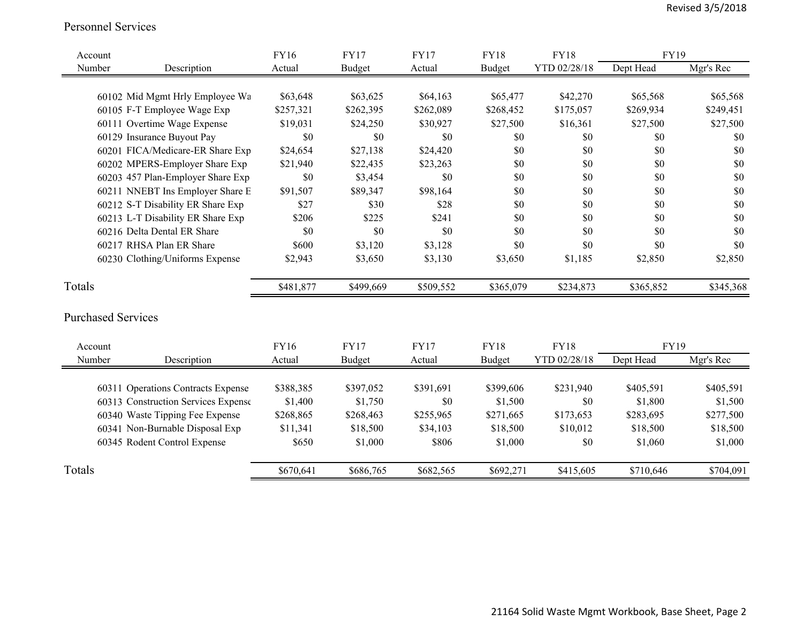#### Personnel Services

| Account                   |                                     | FY16      | <b>FY17</b>   | <b>FY17</b> | <b>FY18</b>   | <b>FY18</b>  | <b>FY19</b> |           |
|---------------------------|-------------------------------------|-----------|---------------|-------------|---------------|--------------|-------------|-----------|
| Number                    | Description                         | Actual    | <b>Budget</b> | Actual      | <b>Budget</b> | YTD 02/28/18 | Dept Head   | Mgr's Rec |
|                           |                                     |           |               |             |               |              |             |           |
|                           | 60102 Mid Mgmt Hrly Employee Wa     | \$63,648  | \$63,625      | \$64,163    | \$65,477      | \$42,270     | \$65,568    | \$65,568  |
|                           | 60105 F-T Employee Wage Exp         | \$257,321 | \$262,395     | \$262,089   | \$268,452     | \$175,057    | \$269,934   | \$249,451 |
|                           | 60111 Overtime Wage Expense         | \$19,031  | \$24,250      | \$30,927    | \$27,500      | \$16,361     | \$27,500    | \$27,500  |
|                           | 60129 Insurance Buyout Pay          | \$0       | \$0           | \$0         | \$0           | \$0          | \$0         | \$0       |
|                           | 60201 FICA/Medicare-ER Share Exp    | \$24,654  | \$27,138      | \$24,420    | \$0           | \$0          | \$0         | \$0       |
|                           | 60202 MPERS-Employer Share Exp      | \$21,940  | \$22,435      | \$23,263    | \$0           | \$0          | \$0         | $\$0$     |
|                           | 60203 457 Plan-Employer Share Exp   | \$0       | \$3,454       | \$0         | \$0           | \$0          | \$0         | \$0       |
|                           | 60211 NNEBT Ins Employer Share E    | \$91,507  | \$89,347      | \$98,164    | \$0           | \$0          | \$0         | \$0       |
|                           | 60212 S-T Disability ER Share Exp   | \$27      | \$30          | \$28        | \$0           | \$0          | \$0         | \$0       |
|                           | 60213 L-T Disability ER Share Exp   | \$206     | \$225         | \$241       | \$0           | \$0          | \$0         | \$0       |
|                           | 60216 Delta Dental ER Share         | \$0       | \$0           | \$0         | \$0           | \$0          | \$0         | \$0       |
|                           | 60217 RHSA Plan ER Share            | \$600     | \$3,120       | \$3,128     | \$0           | \$0          | \$0         | \$0       |
|                           | 60230 Clothing/Uniforms Expense     | \$2,943   | \$3,650       | \$3,130     | \$3,650       | \$1,185      | \$2,850     | \$2,850   |
| Totals                    |                                     | \$481,877 | \$499,669     | \$509,552   | \$365,079     | \$234,873    | \$365,852   | \$345,368 |
| <b>Purchased Services</b> |                                     |           |               |             |               |              |             |           |
| Account                   |                                     | FY16      | <b>FY17</b>   | <b>FY17</b> | <b>FY18</b>   | <b>FY18</b>  | FY19        |           |
| Number                    | Description                         | Actual    | <b>Budget</b> | Actual      | Budget        | YTD 02/28/18 | Dept Head   | Mgr's Rec |
|                           | 60311 Operations Contracts Expense  | \$388,385 | \$397,052     | \$391,691   | \$399,606     | \$231,940    | \$405,591   | \$405,591 |
|                           | 60313 Construction Services Expense | \$1,400   | \$1,750       | \$0         | \$1,500       | \$0          | \$1,800     | \$1,500   |
|                           | 60340 Waste Tipping Fee Expense     | \$268,865 | \$268,463     | \$255,965   | \$271,665     | \$173,653    | \$283,695   | \$277,500 |
|                           | 60341 Non-Burnable Disposal Exp     | \$11,341  | \$18,500      | \$34,103    | \$18,500      | \$10,012     | \$18,500    | \$18,500  |
|                           | 60345 Rodent Control Expense        | \$650     | \$1,000       | \$806       | \$1,000       | \$0          | \$1,060     | \$1,000   |
| Totals                    |                                     | \$670,641 | \$686,765     | \$682,565   | \$692,271     | \$415,605    | \$710,646   | \$704,091 |
|                           |                                     |           |               |             |               |              |             |           |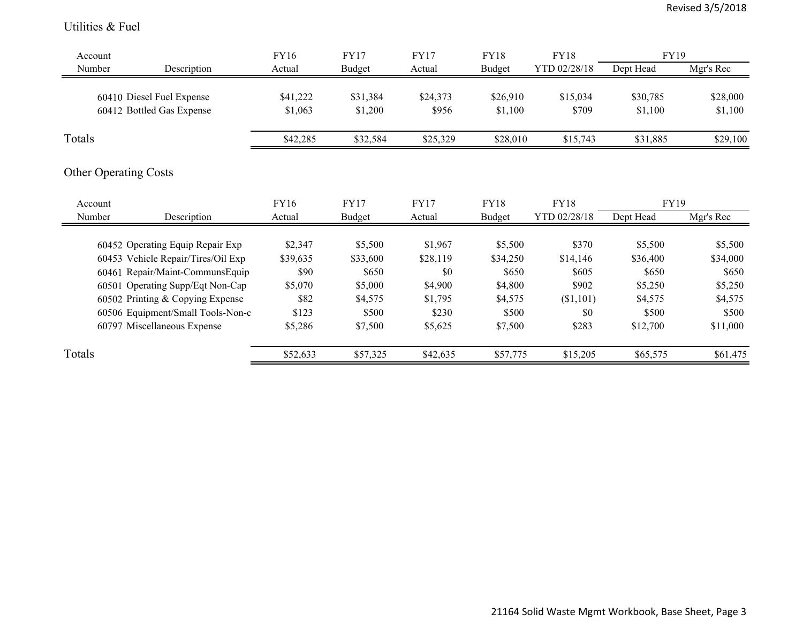#### Utilities & Fuel

| Account |                                    | FY16     | <b>FY17</b>   | <b>FY17</b> | <b>FY18</b>   | <b>FY18</b>  | FY19      |           |
|---------|------------------------------------|----------|---------------|-------------|---------------|--------------|-----------|-----------|
| Number  | Description                        | Actual   | <b>Budget</b> | Actual      | <b>Budget</b> | YTD 02/28/18 | Dept Head | Mgr's Rec |
|         |                                    |          |               |             |               |              |           |           |
|         | 60410 Diesel Fuel Expense          | \$41,222 | \$31,384      | \$24,373    | \$26,910      | \$15,034     | \$30,785  | \$28,000  |
|         | 60412 Bottled Gas Expense          | \$1,063  | \$1,200       | \$956       | \$1,100       | \$709        | \$1,100   | \$1,100   |
| Totals  |                                    | \$42,285 | \$32,584      | \$25,329    | \$28,010      | \$15,743     | \$31,885  | \$29,100  |
|         | <b>Other Operating Costs</b>       |          |               |             |               |              |           |           |
| Account |                                    | FY16     | <b>FY17</b>   | <b>FY17</b> | <b>FY18</b>   | <b>FY18</b>  | FY19      |           |
| Number  | Description                        | Actual   | Budget        | Actual      | <b>Budget</b> | YTD 02/28/18 | Dept Head | Mgr's Rec |
|         | 60452 Operating Equip Repair Exp   | \$2,347  | \$5,500       | \$1,967     | \$5,500       | \$370        | \$5,500   | \$5,500   |
|         | 60453 Vehicle Repair/Tires/Oil Exp | \$39,635 | \$33,600      | \$28,119    | \$34,250      | \$14,146     | \$36,400  | \$34,000  |
|         | 60461 Repair/Maint-CommunsEquip    | \$90     | \$650         | \$0         | \$650         | \$605        | \$650     | \$650     |
|         | 60501 Operating Supp/Eqt Non-Cap   | \$5,070  | \$5,000       | \$4,900     | \$4,800       | \$902        | \$5,250   | \$5,250   |
|         | 60502 Printing & Copying Expense   | \$82     | \$4,575       | \$1,795     | \$4,575       | (\$1,101)    | \$4,575   | \$4,575   |
|         | 60506 Equipment/Small Tools-Non-c  | \$123    | \$500         | \$230       | \$500         | \$0          | \$500     | \$500     |
|         | 60797 Miscellaneous Expense        | \$5,286  | \$7,500       | \$5,625     | \$7,500       | \$283        | \$12,700  | \$11,000  |
| Totals  |                                    | \$52,633 | \$57,325      | \$42,635    | \$57,775      | \$15,205     | \$65,575  | \$61,475  |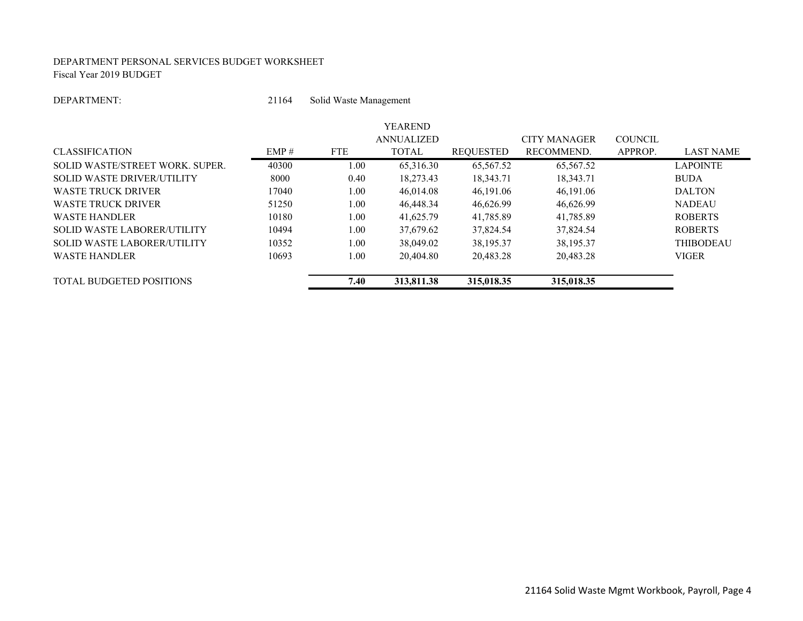#### DEPARTMENT PERSONAL SERVICES BUDGET WORKSHEET Fiscal Year 2019 BUDGET

#### DEPARTMENT:

 21164Solid Waste Management

|                                    |          |            | <b>YEAREND</b>    |            |                     |                |                  |
|------------------------------------|----------|------------|-------------------|------------|---------------------|----------------|------------------|
|                                    |          |            | <b>ANNUALIZED</b> |            | <b>CITY MANAGER</b> | <b>COUNCIL</b> |                  |
| <b>CLASSIFICATION</b>              | $EMP \#$ | <b>FTE</b> | TOTAL             | REQUESTED  | RECOMMEND.          | APPROP.        | LAST NAME        |
| SOLID WASTE/STREET WORK, SUPER.    | 40300    | 1.00       | 65,316.30         | 65,567.52  | 65,567.52           |                | LAPOINTE         |
| <b>SOLID WASTE DRIVER/UTILITY</b>  | 8000     | 0.40       | 18.273.43         | 18,343.71  | 18,343.71           |                | <b>BUDA</b>      |
| WASTE TRUCK DRIVER                 | 17040    | 1.00       | 46,014.08         | 46,191.06  | 46,191.06           |                | <b>DALTON</b>    |
| WASTE TRUCK DRIVER                 | 51250    | 1.00       | 46,448.34         | 46,626.99  | 46.626.99           |                | <b>NADEAU</b>    |
| <b>WASTE HANDLER</b>               | 10180    | 1.00       | 41.625.79         | 41,785.89  | 41,785.89           |                | <b>ROBERTS</b>   |
| <b>SOLID WASTE LABORER/UTILITY</b> | 10494    | $1.00\,$   | 37,679.62         | 37,824.54  | 37,824.54           |                | <b>ROBERTS</b>   |
| <b>SOLID WASTE LABORER/UTILITY</b> | 10352    | 1.00       | 38,049.02         | 38,195.37  | 38, 195. 37         |                | <b>THIBODEAU</b> |
| <b>WASTE HANDLER</b>               | 10693    | 1.00       | 20,404.80         | 20,483.28  | 20.483.28           |                | <b>VIGER</b>     |
| TOTAL BUDGETED POSITIONS           |          | 7.40       | 313,811.38        | 315,018.35 | 315,018.35          |                |                  |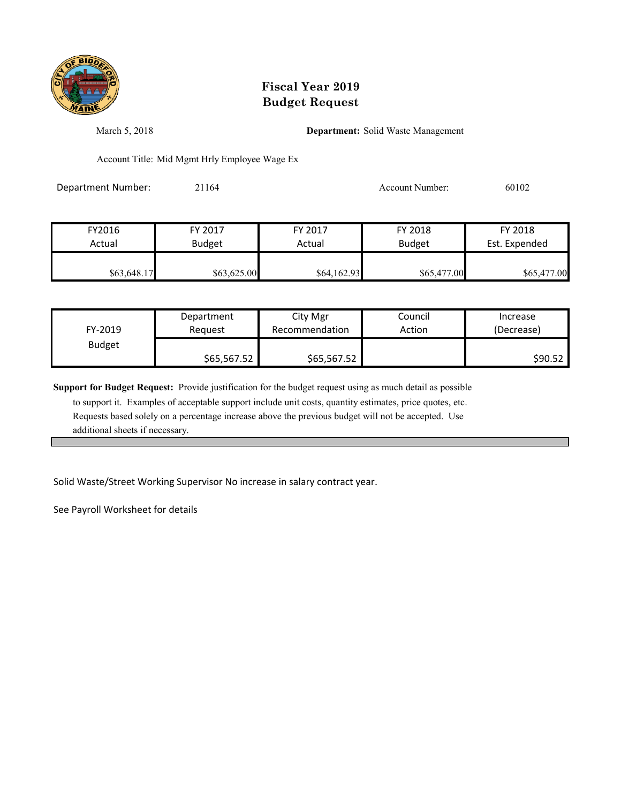

March 5, 2018 **Department:** Solid Waste Management

Account Title: Mid Mgmt Hrly Employee Wage Ex

Department Number: 21164 20102<br>
20102

| FY2016      | FY 2017       | FY 2017     | FY 2018       | FY 2018       |
|-------------|---------------|-------------|---------------|---------------|
| Actual      | <b>Budget</b> | Actual      | <b>Budget</b> | Est. Expended |
| \$63,648.17 | \$63,625.00   | \$64,162.93 | \$65,477.00   | \$65,477.00   |

| FY-2019       | Department  | City Mgr       | Council | Increase   |
|---------------|-------------|----------------|---------|------------|
|               | Reauest     | Recommendation | Action  | (Decrease) |
| <b>Budget</b> | \$65,567.52 | \$65,567.52    |         | \$90.52    |

**Support for Budget Request:** Provide justification for the budget request using as much detail as possible

 to support it. Examples of acceptable support include unit costs, quantity estimates, price quotes, etc. Requests based solely on a percentage increase above the previous budget will not be accepted. Use additional sheets if necessary.

Solid Waste/Street Working Supervisor No increase in salary contract year.

See Payroll Worksheet for details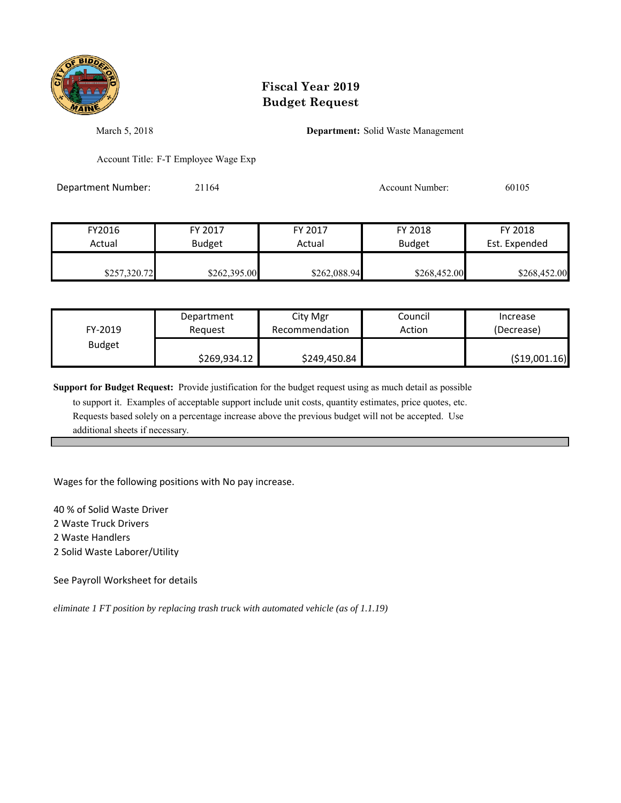

March 5, 2018 **Department:** Solid Waste Management

Account Title: F-T Employee Wage Exp

Department Number: 21164 2000 Account Number: 60105

| FY2016       | FY 2017       | FY 2017      | FY 2018       | FY 2018       |
|--------------|---------------|--------------|---------------|---------------|
| Actual       | <b>Budget</b> | Actual       | <b>Budget</b> | Est. Expended |
| \$257,320.72 | \$262,395.00  | \$262,088.94 | \$268,452.00  | \$268,452.00  |

| FY-2019       | Department   | City Mgr       | Council | Increase       |
|---------------|--------------|----------------|---------|----------------|
|               | Reauest      | Recommendation | Action  | (Decrease)     |
| <b>Budget</b> | \$269,934.12 | \$249,450.84   |         | ( \$19,001.16) |

**Support for Budget Request:** Provide justification for the budget request using as much detail as possible

 to support it. Examples of acceptable support include unit costs, quantity estimates, price quotes, etc. Requests based solely on a percentage increase above the previous budget will not be accepted. Use additional sheets if necessary.

Wages for the following positions with No pay increase.

40 % of Solid Waste Driver 2 Waste Truck Drivers 2 Waste Handlers 2 Solid Waste Laborer/Utility

See Payroll Worksheet for details

*eliminate 1 FT position by replacing trash truck with automated vehicle (as of 1.1.19)*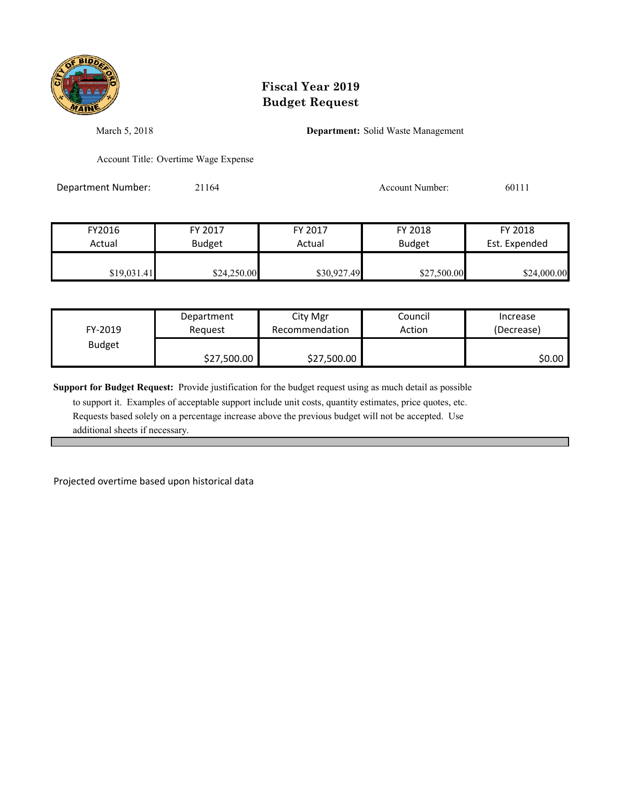

March 5, 2018 **Department:** Solid Waste Management

Account Title: Overtime Wage Expense

Department Number: 21164 21164 Account Number: 60111

| FY2016      | FY 2017       | FY 2017     | FY 2018       | FY 2018       |
|-------------|---------------|-------------|---------------|---------------|
| Actual      | <b>Budget</b> | Actual      | <b>Budget</b> | Est. Expended |
| \$19,031.41 | \$24,250.00   | \$30,927.49 | \$27,500.00   | \$24,000.00   |

| FY-2019       | Department  | City Mgr       | Council | Increase   |
|---------------|-------------|----------------|---------|------------|
|               | Reauest     | Recommendation | Action  | (Decrease) |
| <b>Budget</b> | \$27,500.00 | \$27,500.00    |         | \$0.00     |

**Support for Budget Request:** Provide justification for the budget request using as much detail as possible

 to support it. Examples of acceptable support include unit costs, quantity estimates, price quotes, etc. Requests based solely on a percentage increase above the previous budget will not be accepted. Use additional sheets if necessary.

Projected overtime based upon historical data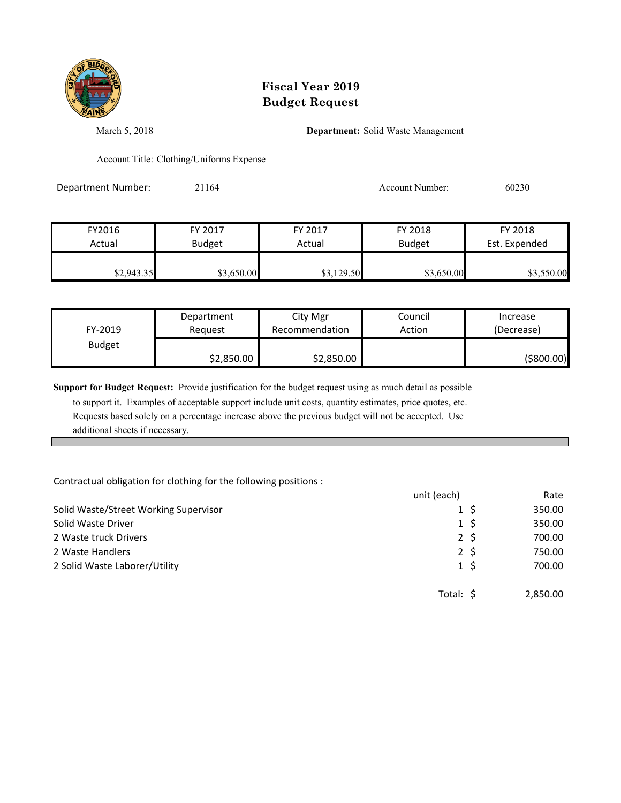

March 5, 2018 **Department:** Solid Waste Management

Account Title: Clothing/Uniforms Expense

Department Number: 21164 20230 Account Number: 60230

| FY2016     | FY 2017       | FY 2017    | FY 2018       | FY 2018       |
|------------|---------------|------------|---------------|---------------|
| Actual     | <b>Budget</b> | Actual     | <b>Budget</b> | Est. Expended |
| \$2,943.35 | \$3,650.00    | \$3,129.50 | \$3,650.00    | \$3,550.00    |

| FY-2019       | Department | City Mgr       | Council | Increase   |
|---------------|------------|----------------|---------|------------|
|               | Reauest    | Recommendation | Action  | (Decrease) |
| <b>Budget</b> | \$2,850.00 | \$2,850.00     |         | (\$800.00) |

**Support for Budget Request:** Provide justification for the budget request using as much detail as possible

 to support it. Examples of acceptable support include unit costs, quantity estimates, price quotes, etc. Requests based solely on a percentage increase above the previous budget will not be accepted. Use additional sheets if necessary.

Contractual obligation for clothing for the following positions :

|                                       | unit (each) |                 | Rate     |
|---------------------------------------|-------------|-----------------|----------|
| Solid Waste/Street Working Supervisor |             | 15              | 350.00   |
| Solid Waste Driver                    |             | $1\,$ \$        | 350.00   |
| 2 Waste truck Drivers                 | 2 \$        |                 | 700.00   |
| 2 Waste Handlers                      |             | $2\overline{5}$ | 750.00   |
| 2 Solid Waste Laborer/Utility         |             | 1 S             | 700.00   |
|                                       | Total: \$   |                 | 2,850.00 |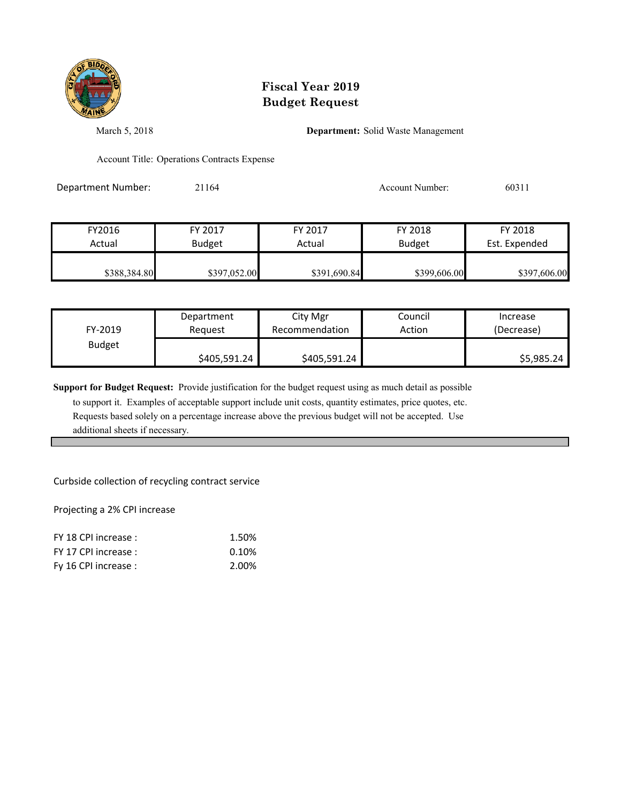

March 5, 2018 **Department:** Solid Waste Management

Account Title: Operations Contracts Expense

Department Number: 21164 21164 Account Number: 60311

| FY2016       | FY 2017       | FY 2017      | FY 2018       | FY 2018       |
|--------------|---------------|--------------|---------------|---------------|
| Actual       | <b>Budget</b> | Actual       | <b>Budget</b> | Est. Expended |
|              |               |              |               |               |
| \$388,384.80 | \$397,052.00  | \$391,690.84 | \$399,606.00  | \$397,606.00  |

| FY-2019       | Department   | City Mgr       | Council | Increase   |
|---------------|--------------|----------------|---------|------------|
|               | Reauest      | Recommendation | Action  | (Decrease) |
| <b>Budget</b> | \$405,591.24 | \$405,591.24   |         | \$5,985.24 |

**Support for Budget Request:** Provide justification for the budget request using as much detail as possible

 to support it. Examples of acceptable support include unit costs, quantity estimates, price quotes, etc. Requests based solely on a percentage increase above the previous budget will not be accepted. Use additional sheets if necessary.

Curbside collection of recycling contract service

Projecting a 2% CPI increase

| FY 18 CPI increase : | 1.50% |
|----------------------|-------|
| FY 17 CPI increase : | 0.10% |
| Fy 16 CPI increase : | 2.00% |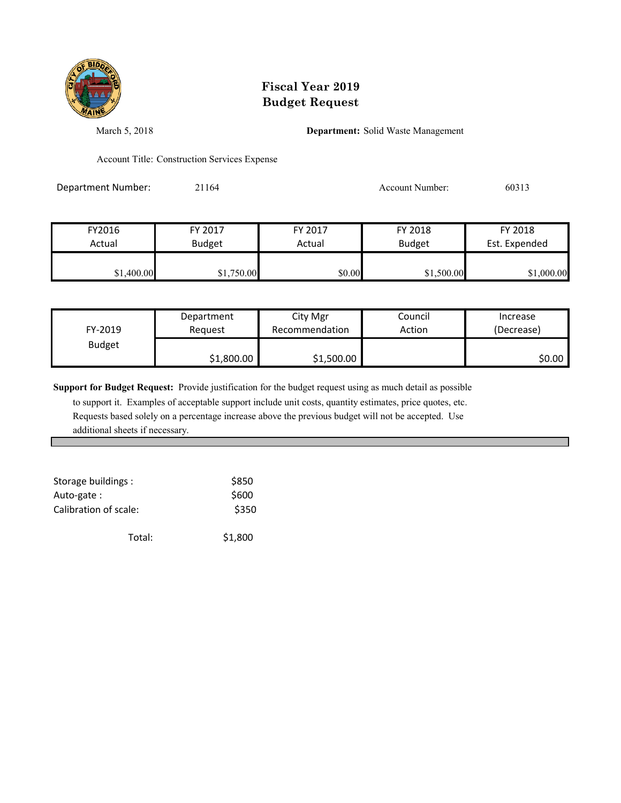

March 5, 2018 **Department:** Solid Waste Management

Account Title: Construction Services Expense

Department Number: 21164 21164 Account Number: 60313

| FY2016     | FY 2017       | FY 2017 | FY 2018       | FY 2018       |
|------------|---------------|---------|---------------|---------------|
| Actual     | <b>Budget</b> | Actual  | <b>Budget</b> | Est. Expended |
|            |               |         |               |               |
| \$1,400.00 | \$1,750.00    | \$0.00  | \$1,500.00    | \$1,000.00    |

| FY-2019       | Department | City Mgr       | Council | Increase   |
|---------------|------------|----------------|---------|------------|
|               | Request    | Recommendation | Action  | (Decrease) |
| <b>Budget</b> | \$1,800.00 | \$1,500.00     |         | \$0.00     |

**Support for Budget Request:** Provide justification for the budget request using as much detail as possible

| Storage buildings :   | \$850   |
|-----------------------|---------|
| Auto-gate:            | \$600   |
| Calibration of scale: | \$350   |
| Total:                | \$1,800 |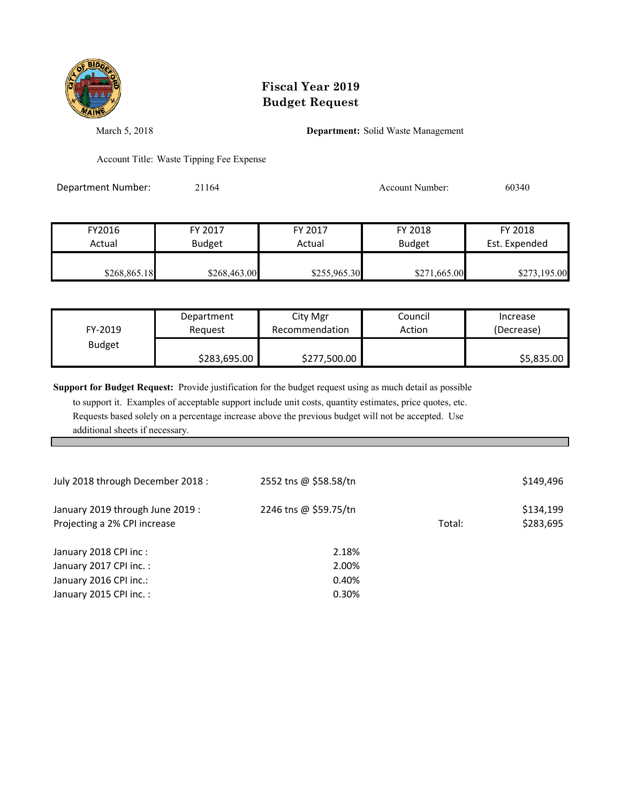

March 5, 2018 **Department:** Solid Waste Management

Account Title: Waste Tipping Fee Expense

Department Number: 21164 2009 2016 2016 Account Number: 60340

| FY2016       | FY 2017       | FY 2017      | FY 2018       | FY 2018       |
|--------------|---------------|--------------|---------------|---------------|
| Actual       | <b>Budget</b> | Actual       | <b>Budget</b> | Est. Expended |
|              |               |              |               |               |
| \$268,865.18 | \$268,463.00  | \$255,965.30 | \$271,665.00  | \$273,195.00  |

| FY-2019       | Department   | City Mgr       | Council | Increase   |
|---------------|--------------|----------------|---------|------------|
|               | Reauest      | Recommendation | Action  | (Decrease) |
| <b>Budget</b> | \$283,695.00 | \$277,500.00   |         | \$5,835.00 |

**Support for Budget Request:** Provide justification for the budget request using as much detail as possible

| July 2018 through December 2018 :                                | 2552 tns @ \$58.58/tn |        | \$149,496              |
|------------------------------------------------------------------|-----------------------|--------|------------------------|
| January 2019 through June 2019 :<br>Projecting a 2% CPI increase | 2246 tns @ \$59.75/tn | Total: | \$134,199<br>\$283,695 |
| January 2018 CPI inc:                                            | 2.18%                 |        |                        |
| January 2017 CPI inc.:                                           | 2.00%                 |        |                        |
| January 2016 CPI inc.:                                           | 0.40%                 |        |                        |
| January 2015 CPI inc.:                                           | 0.30%                 |        |                        |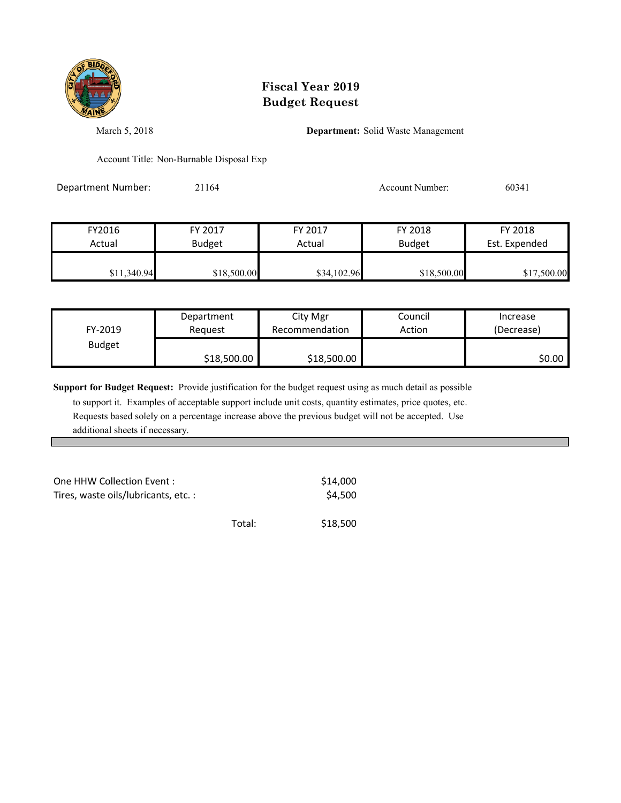

March 5, 2018 **Department:** Solid Waste Management

Account Title: Non-Burnable Disposal Exp

Department Number: 21164 21164 Account Number: 60341

| FY2016      | FY 2017       | FY 2017     | FY 2018       | FY 2018       |
|-------------|---------------|-------------|---------------|---------------|
| Actual      | <b>Budget</b> | Actual      | <b>Budget</b> | Est. Expended |
|             |               |             |               |               |
| \$11,340.94 | \$18,500.00   | \$34,102.96 | \$18,500.00   | \$17,500.00   |

| FY-2019       | Department  | City Mgr       | Council | Increase   |
|---------------|-------------|----------------|---------|------------|
|               | Reauest     | Recommendation | Action  | (Decrease) |
| <b>Budget</b> | \$18,500.00 | \$18,500.00    |         | \$0.00     |

**Support for Budget Request:** Provide justification for the budget request using as much detail as possible

| One HHW Collection Event:           | \$14,000 |          |
|-------------------------------------|----------|----------|
| Tires, waste oils/lubricants, etc.: | \$4.500  |          |
|                                     | Total:   | \$18,500 |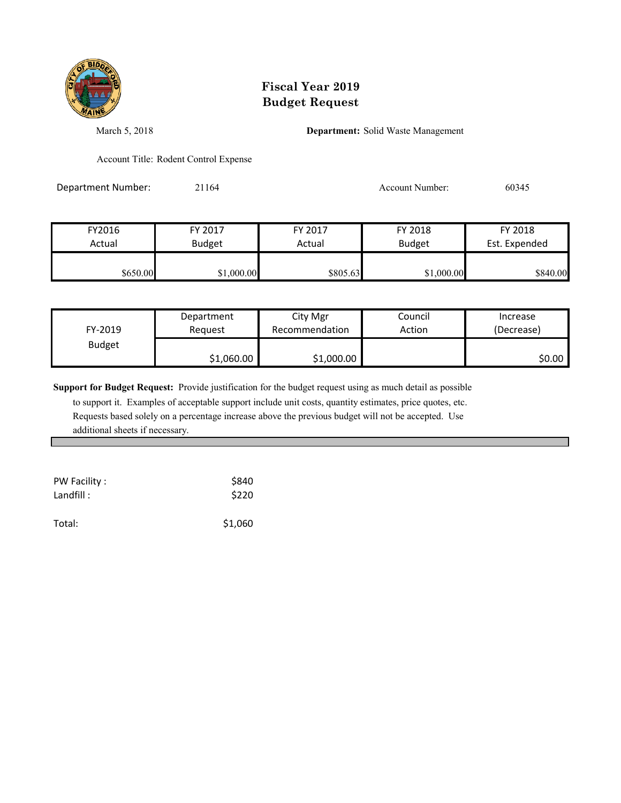

March 5, 2018 **Department:** Solid Waste Management

Account Title: Rodent Control Expense

Department Number: 21164 2009 2016 2016 Account Number: 60345

| FY2016   | FY 2017    | FY 2017  | FY 2018       | FY 2018       |
|----------|------------|----------|---------------|---------------|
| Actual   | Budget     | Actual   | <b>Budget</b> | Est. Expended |
|          |            |          |               |               |
| \$650.00 | \$1,000.00 | \$805.63 | \$1,000.00    | \$840.00      |

| FY-2019       | Department | City Mgr       | Council | Increase   |
|---------------|------------|----------------|---------|------------|
|               | Reauest    | Recommendation | Action  | (Decrease) |
| <b>Budget</b> | \$1,060.00 | \$1,000.00     |         | \$0.00     |

**Support for Budget Request:** Provide justification for the budget request using as much detail as possible

| PW Facility: | \$840   |
|--------------|---------|
| Landfill :   | \$220   |
|              |         |
| Total:       | \$1,060 |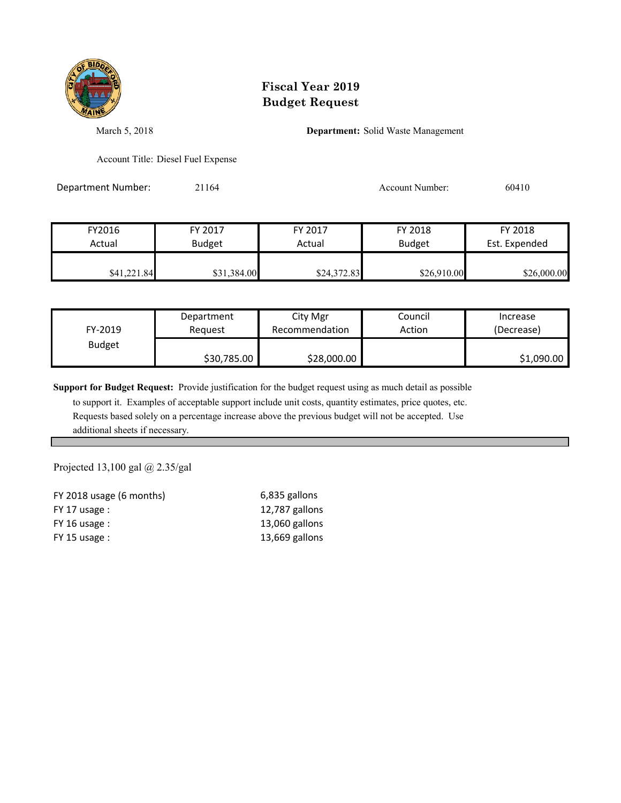

March 5, 2018 **Department:** Solid Waste Management

Account Title: Diesel Fuel Expense

Department Number: 21164 Account Number: 60410

FY2016 FY 2017 FY 2017 FY 2018 FY 2018 Actual Budget **Actual Budget** Actual Budget Est. Expended \$41,221.84 \$31,384.00 \$24,372.83 \$26,910.00 \$26,000.00

| FY-2019       | Department  | City Mgr       | Council | Increase   |
|---------------|-------------|----------------|---------|------------|
|               | Reauest     | Recommendation | Action  | (Decrease) |
| <b>Budget</b> | \$30,785.00 | \$28,000.00    |         | \$1,090.00 |

**Support for Budget Request:** Provide justification for the budget request using as much detail as possible

 to support it. Examples of acceptable support include unit costs, quantity estimates, price quotes, etc. Requests based solely on a percentage increase above the previous budget will not be accepted. Use additional sheets if necessary.

Projected 13,100 gal @ 2.35/gal

| FY 2018 usage (6 months) | 6,835 gallons  |
|--------------------------|----------------|
| $FY$ 17 usage :          | 12,787 gallons |
| $FY$ 16 usage :          | 13,060 gallons |
| $FY$ 15 usage :          | 13,669 gallons |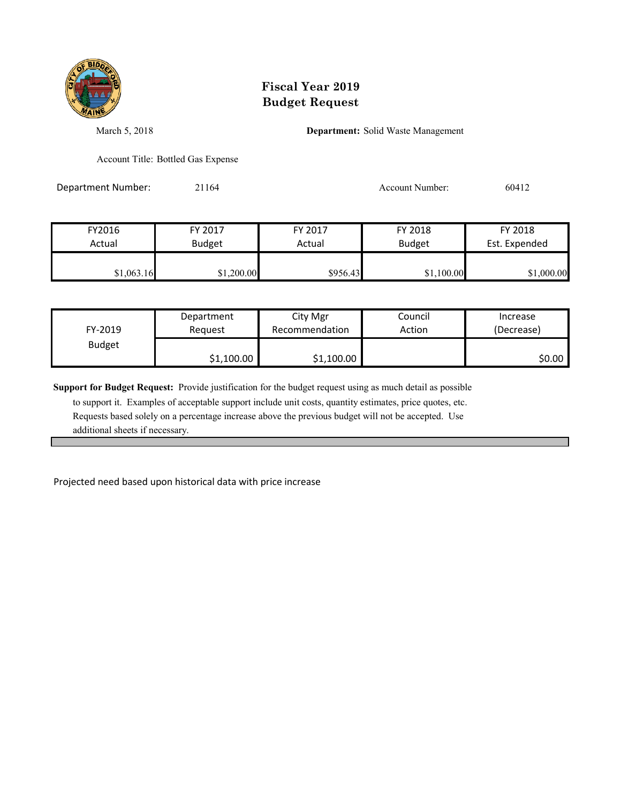

March 5, 2018 **Department:** Solid Waste Management

Account Title: Bottled Gas Expense

Department Number: 21164 Account Number: 60412

| FY2016     | FY 2017       | FY 2017  | FY 2018       | FY 2018       |
|------------|---------------|----------|---------------|---------------|
| Actual     | <b>Budget</b> | Actual   | <b>Budget</b> | Est. Expended |
| \$1,063.16 | \$1,200.00    | \$956.43 | \$1,100.00    | \$1,000.00    |

| FY-2019       | Department | City Mgr       | Council | Increase   |
|---------------|------------|----------------|---------|------------|
|               | Request    | Recommendation | Action  | (Decrease) |
| <b>Budget</b> | \$1,100.00 | \$1,100.00     |         | \$0.00     |

**Support for Budget Request:** Provide justification for the budget request using as much detail as possible

 to support it. Examples of acceptable support include unit costs, quantity estimates, price quotes, etc. Requests based solely on a percentage increase above the previous budget will not be accepted. Use additional sheets if necessary.

Projected need based upon historical data with price increase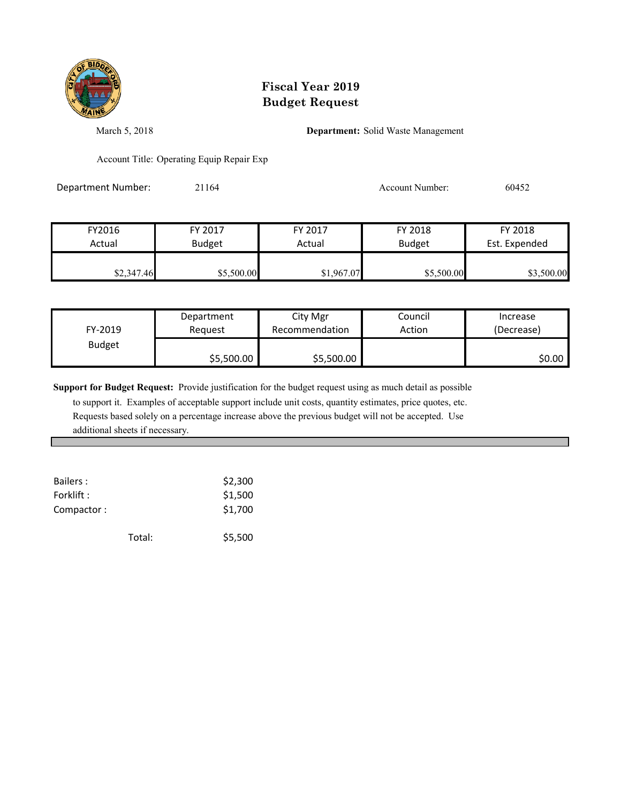

March 5, 2018 **Department:** Solid Waste Management

Account Title: Operating Equip Repair Exp

Department Number: 21164 2009 2016 2016 Account Number: 60452

| FY2016     | FY 2017       | FY 2017    | FY 2018       | FY 2018       |
|------------|---------------|------------|---------------|---------------|
| Actual     | <b>Budget</b> | Actual     | <b>Budget</b> | Est. Expended |
|            |               |            |               |               |
| \$2,347.46 | \$5,500.00    | \$1,967.07 | \$5,500.00    | \$3,500.00    |

| FY-2019       | Department | City Mgr       | Council | Increase   |
|---------------|------------|----------------|---------|------------|
|               | Request    | Recommendation | Action  | (Decrease) |
| <b>Budget</b> | \$5,500.00 | \$5,500.00     |         | \$0.00     |

**Support for Budget Request:** Provide justification for the budget request using as much detail as possible

| Bailers:   |        | \$2,300 |
|------------|--------|---------|
| Forklift : |        | \$1,500 |
| Compactor: |        | \$1,700 |
|            | Total: | \$5,500 |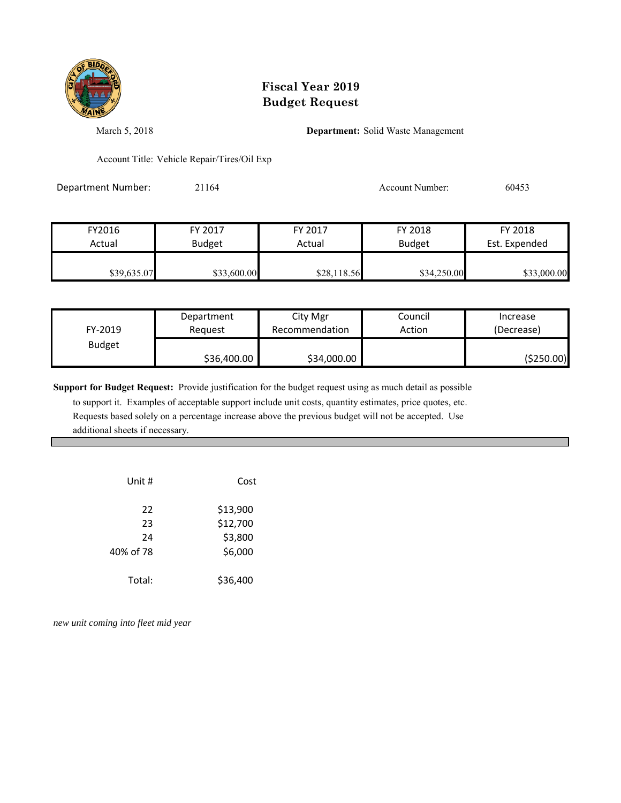

March 5, 2018 **Department:** Solid Waste Management

Account Title: Vehicle Repair/Tires/Oil Exp

Department Number: 21164 2006 2016 2016 Account Number: 60453

| FY2016      | FY 2017       | FY 2017     | FY 2018       | FY 2018       |
|-------------|---------------|-------------|---------------|---------------|
| Actual      | <b>Budget</b> | Actual      | <b>Budget</b> | Est. Expended |
| \$39,635.07 | \$33,600.00   | \$28,118.56 | \$34,250.00   | \$33,000.00   |

| FY-2019       | Department  | City Mgr       | Council | Increase   |
|---------------|-------------|----------------|---------|------------|
|               | Reauest     | Recommendation | Action  | (Decrease) |
| <b>Budget</b> | \$36,400.00 | \$34,000.00    |         | (\$250.00) |

**Support for Budget Request:** Provide justification for the budget request using as much detail as possible

 to support it. Examples of acceptable support include unit costs, quantity estimates, price quotes, etc. Requests based solely on a percentage increase above the previous budget will not be accepted. Use additional sheets if necessary.

| Unit #    | Cost     |
|-----------|----------|
| 22        | \$13,900 |
| 23        | \$12,700 |
| 24        | \$3,800  |
| 40% of 78 | \$6,000  |
| Total:    | \$36,400 |

*new unit coming into fleet mid year*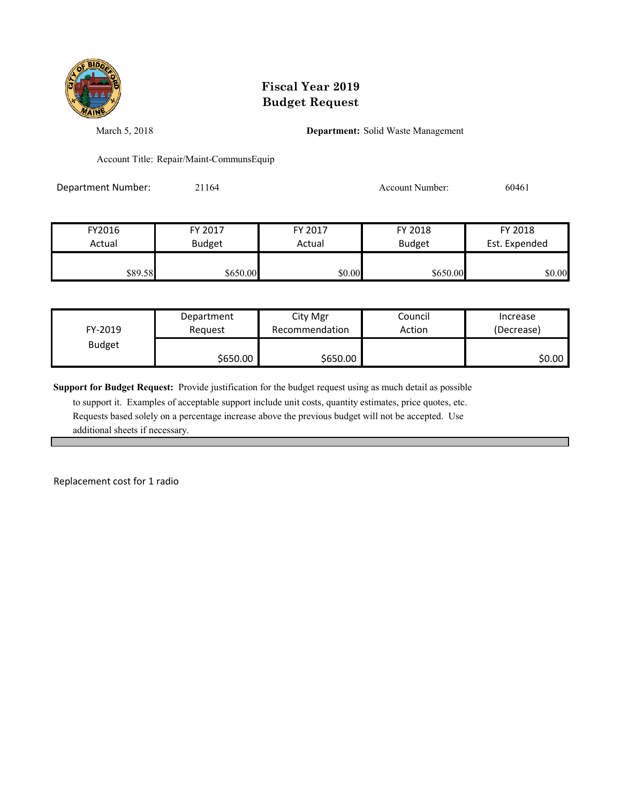

March 5, 2018 **Department:** Solid Waste Management

Account Title: Repair/Maint-CommunsEquip

Department Number: 21164 21164 Account Number: 60461

| FY2016  | FY 2017       | FY 2017 | FY 2018       | FY 2018       |
|---------|---------------|---------|---------------|---------------|
| Actual  | <b>Budget</b> | Actual  | <b>Budget</b> | Est. Expended |
|         |               |         |               |               |
| \$89.58 | \$650.00      | \$0.00  | \$650.00      | \$0.00        |

| FY-2019       | Department | City Mgr       | Council | Increase   |
|---------------|------------|----------------|---------|------------|
|               | Request    | Recommendation | Action  | (Decrease) |
| <b>Budget</b> | \$650.00   | \$650.00       |         | \$0.00     |

**Support for Budget Request:** Provide justification for the budget request using as much detail as possible

 to support it. Examples of acceptable support include unit costs, quantity estimates, price quotes, etc. Requests based solely on a percentage increase above the previous budget will not be accepted. Use additional sheets if necessary.

Replacement cost for 1 radio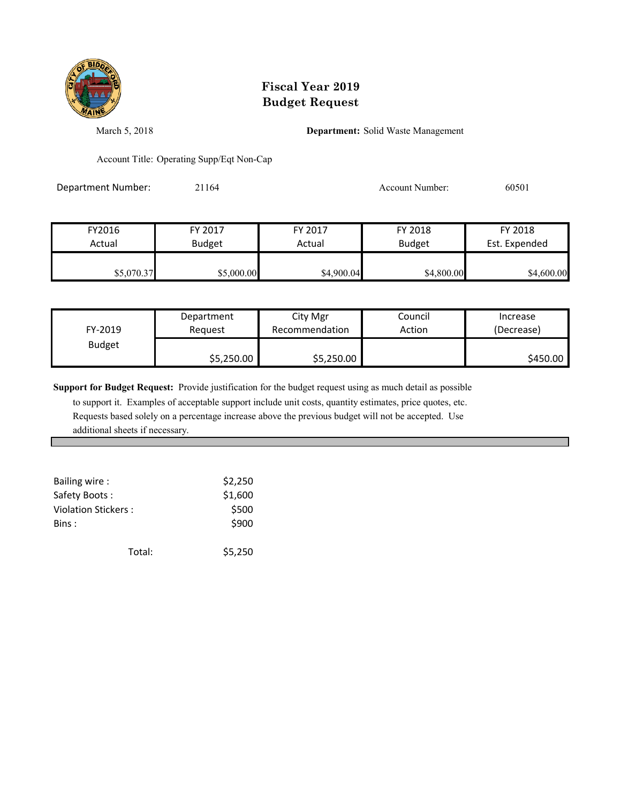

March 5, 2018 **Department:** Solid Waste Management

Account Title: Operating Supp/Eqt Non-Cap

Department Number: 21164 21164 Account Number: 60501

| FY2016     | FY 2017       | FY 2017    | FY 2018       | FY 2018       |
|------------|---------------|------------|---------------|---------------|
| Actual     | <b>Budget</b> | Actual     | <b>Budget</b> | Est. Expended |
|            |               |            |               |               |
| \$5,070.37 | \$5,000.00    | \$4,900.04 | \$4,800.00    | \$4,600.00    |

| FY-2019       | Department | City Mgr       | Council | Increase   |
|---------------|------------|----------------|---------|------------|
|               | Reauest    | Recommendation | Action  | (Decrease) |
| <b>Budget</b> | \$5,250.00 | \$5,250.00     |         | \$450.00   |

**Support for Budget Request:** Provide justification for the budget request using as much detail as possible

| Bailing wire:       | \$2,250 |
|---------------------|---------|
| Safety Boots:       | \$1,600 |
| Violation Stickers: | \$500   |
| Bins :              | \$900   |
|                     |         |
| Total:              | \$5,250 |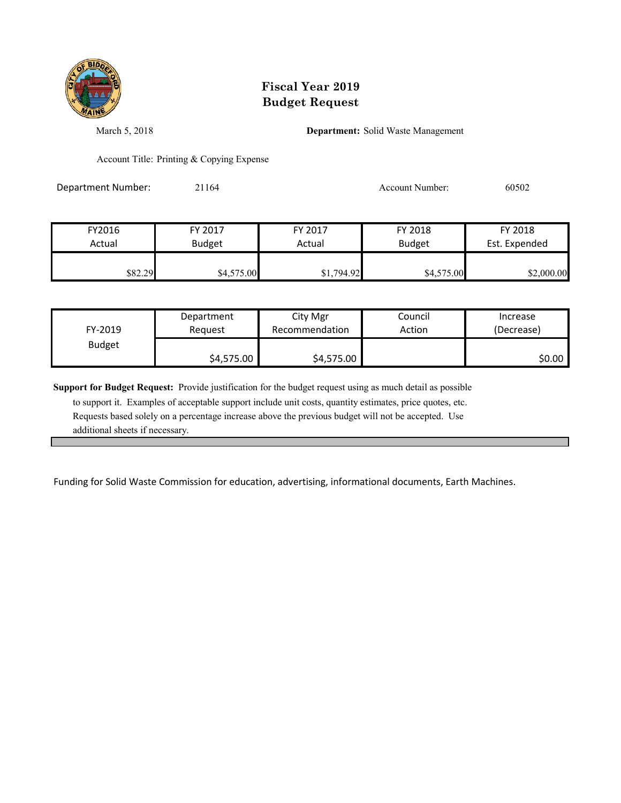

March 5, 2018 **Department:** Solid Waste Management

Account Title: Printing & Copying Expense

Department Number: 21164 21164 Account Number: 60502

| FY2016  | FY 2017       | FY 2017    | FY 2018       | FY 2018       |
|---------|---------------|------------|---------------|---------------|
| Actual  | <b>Budget</b> | Actual     | <b>Budget</b> | Est. Expended |
|         |               |            |               |               |
| \$82.29 | \$4,575.00    | \$1,794.92 | \$4,575.00    | \$2,000.00    |

| FY-2019       | Department | City Mgr       | Council | Increase   |
|---------------|------------|----------------|---------|------------|
|               | Reauest    | Recommendation | Action  | (Decrease) |
| <b>Budget</b> | \$4,575.00 | \$4,575.00     |         | \$0.00     |

**Support for Budget Request:** Provide justification for the budget request using as much detail as possible

 to support it. Examples of acceptable support include unit costs, quantity estimates, price quotes, etc. Requests based solely on a percentage increase above the previous budget will not be accepted. Use additional sheets if necessary.

Funding for Solid Waste Commission for education, advertising, informational documents, Earth Machines.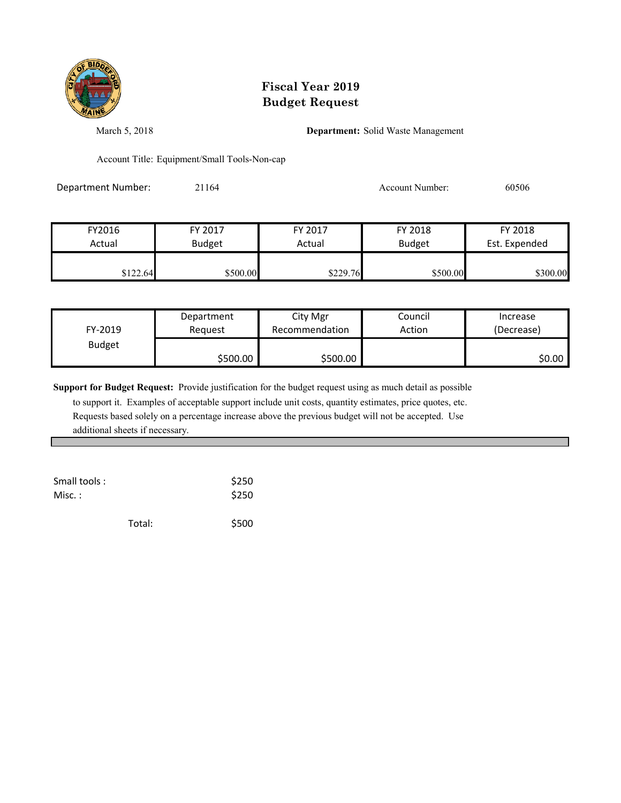

March 5, 2018 **Department:** Solid Waste Management

Account Title: Equipment/Small Tools-Non-cap

Department Number: 21164 2009 2016 2016 Account Number: 60506

| FY2016   | FY 2017            | FY 2017  | FY 2018       | FY 2018       |
|----------|--------------------|----------|---------------|---------------|
| Actual   |                    | Actual   | <b>Budget</b> | Est. Expended |
| \$122.64 | Budget<br>\$500.00 | \$229.76 | \$500.00      | \$300.00      |

| FY-2019       | Department | City Mgr       | Council | Increase   |
|---------------|------------|----------------|---------|------------|
|               | Request    | Recommendation | Action  | (Decrease) |
| <b>Budget</b> | \$500.00   | \$500.00       |         | \$0.00     |

**Support for Budget Request:** Provide justification for the budget request using as much detail as possible

 to support it. Examples of acceptable support include unit costs, quantity estimates, price quotes, etc. Requests based solely on a percentage increase above the previous budget will not be accepted. Use additional sheets if necessary.

| Small tools: | \$250 |
|--------------|-------|
| Misc. :      | \$250 |
|              |       |

Total: \$500